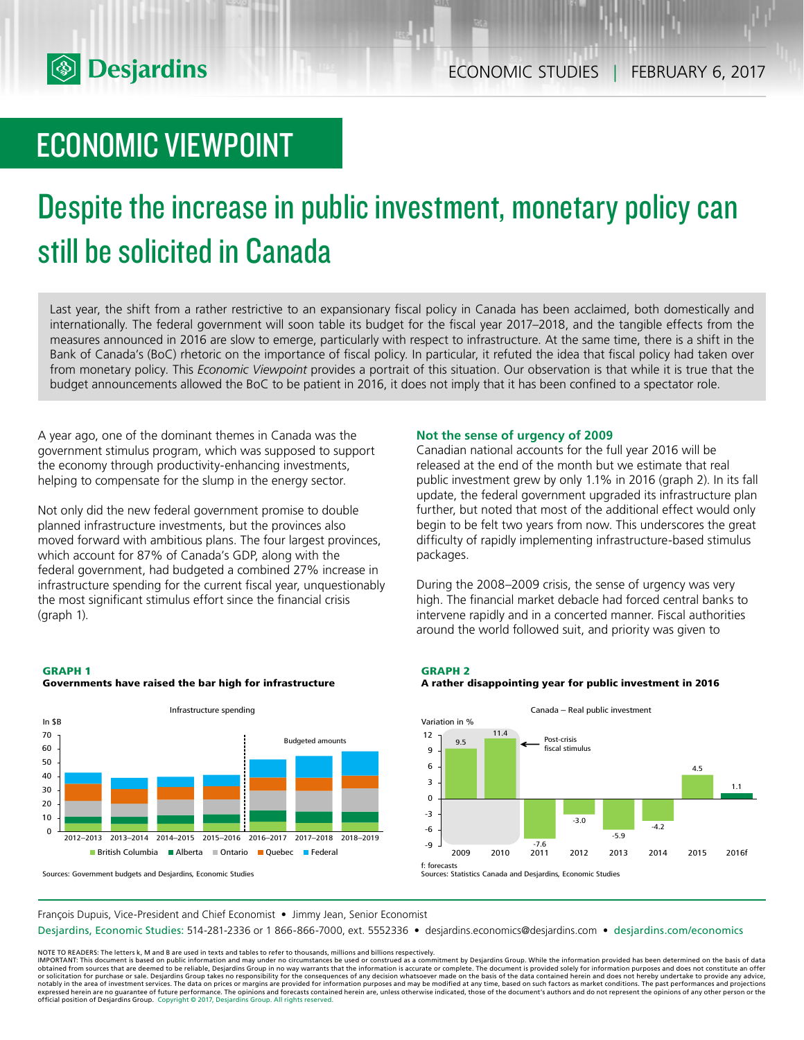

## ECONOMIC VIEWPOINT

# Despite the increase in public investment, monetary policy can still be solicited in Canada

Last year, the shift from a rather restrictive to an expansionary fiscal policy in Canada has been acclaimed, both domestically and internationally. The federal government will soon table its budget for the fiscal year 2017–2018, and the tangible effects from the measures announced in 2016 are slow to emerge, particularly with respect to infrastructure. At the same time, there is a shift in the Bank of Canada's (BoC) rhetoric on the importance of fiscal policy. In particular, it refuted the idea that fiscal policy had taken over from monetary policy. This *Economic Viewpoint* provides a portrait of this situation. Our observation is that while it is true that the budget announcements allowed the BoC to be patient in 2016, it does not imply that it has been confined to a spectator role.

A year ago, one of the dominant themes in Canada was the government stimulus program, which was supposed to support the economy through productivity-enhancing investments, helping to compensate for the slump in the energy sector.

Not only did the new federal government promise to double planned infrastructure investments, but the provinces also moved forward with ambitious plans. The four largest provinces, which account for 87% of Canada's GDP, along with the federal government, had budgeted a combined 27% increase in infrastructure spending for the current fiscal year, unquestionably the most significant stimulus effort since the financial crisis (graph 1).

#### **GRAPH 1 Governments have raised the bar high for infrastructure**



#### Sources: Government budgets and Desjardins, Economic Studies

#### **Not the sense of urgency of 2009**

Canadian national accounts for the full year 2016 will be released at the end of the month but we estimate that real public investment grew by only 1.1% in 2016 (graph 2). In its fall update, the federal government upgraded its infrastructure plan further, but noted that most of the additional effect would only begin to be felt two years from now. This underscores the great difficulty of rapidly implementing infrastructure-based stimulus packages.

During the 2008–2009 crisis, the sense of urgency was very high. The financial market debacle had forced central banks to intervene rapidly and in a concerted manner. Fiscal authorities around the world followed suit, and priority was given to

#### **GRAPH 2**

#### **A rather disappointing year for public investment in 2016**



Sources: Statistics Canada and Desjardins, Economic Studies

François Dupuis, Vice-President and Chief Economist • Jimmy Jean, Senior Economist

Desjardins, Economic Studies: 514-281-2336 or 1 866-866-7000, ext. 5552336 • desjardins.economics@desjardins.com • desjardins.com/economics

NOTE TO READERS: The letters k, M and B are used in texts and tables to refer to thousands, millions and billions respectively.<br>IMPORTANT: This document is based on public information and may under no circumstances be used obtained from sources that are deemed to be reliable, Desjardins Group in no way warrants that the information is accurate or complete. The document is provided solely for information purposes and does not constitute an of expressed herein are no guarantee of future performance. The opinions and forecasts contained herein are, unless otherwise indicated, those of the document's authors and do not represent the opinions of any other person or official position of Desjardins Group. Copyright © 2017, Desjardins Group. All rights reserved.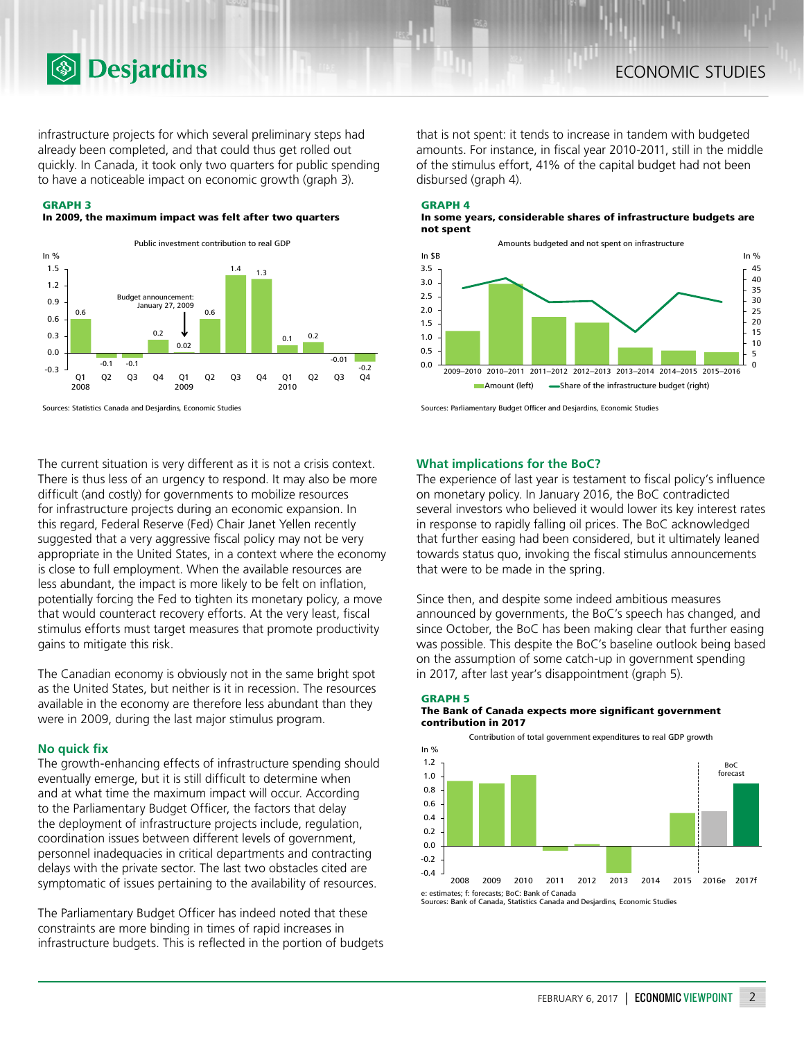infrastructure projects for which several preliminary steps had already been completed, and that could thus get rolled out quickly. In Canada, it took only two quarters for public spending to have a noticeable impact on economic growth (graph 3).

#### **GRAPH 3**

#### **In 2009, the maximum impact was felt after two quarters**



Sources: Statistics Canada and Desjardins, Economic Studies

**<b>Desjardins** 

The current situation is very different as it is not a crisis context. There is thus less of an urgency to respond. It may also be more difficult (and costly) for governments to mobilize resources for infrastructure projects during an economic expansion. In this regard, Federal Reserve (Fed) Chair Janet Yellen recently suggested that a very aggressive fiscal policy may not be very appropriate in the United States, in a context where the economy is close to full employment. When the available resources are less abundant, the impact is more likely to be felt on inflation, potentially forcing the Fed to tighten its monetary policy, a move that would counteract recovery efforts. At the very least, fiscal stimulus efforts must target measures that promote productivity gains to mitigate this risk.

The Canadian economy is obviously not in the same bright spot as the United States, but neither is it in recession. The resources available in the economy are therefore less abundant than they were in 2009, during the last major stimulus program.

#### **No quick fix**

The growth-enhancing effects of infrastructure spending should eventually emerge, but it is still difficult to determine when and at what time the maximum impact will occur. According to the Parliamentary Budget Officer, the factors that delay the deployment of infrastructure projects include, regulation, coordination issues between different levels of government, personnel inadequacies in critical departments and contracting delays with the private sector. The last two obstacles cited are symptomatic of issues pertaining to the availability of resources.

The Parliamentary Budget Officer has indeed noted that these constraints are more binding in times of rapid increases in infrastructure budgets. This is reflected in the portion of budgets

that is not spent: it tends to increase in tandem with budgeted amounts. For instance, in fiscal year 2010-2011, still in the middle of the stimulus effort, 41% of the capital budget had not been disbursed (graph 4).

#### **GRAPH 4**

**In some years, considerable shares of infrastructure budgets are not spent**



Sources: Parliamentary Budget Officer and Desjardins, Economic Studies

#### **What implications for the BoC?**

The experience of last year is testament to fiscal policy's influence on monetary policy. In January 2016, the BoC contradicted several investors who believed it would lower its key interest rates in response to rapidly falling oil prices. The BoC acknowledged that further easing had been considered, but it ultimately leaned towards status quo, invoking the fiscal stimulus announcements that were to be made in the spring.

Since then, and despite some indeed ambitious measures announced by governments, the BoC's speech has changed, and since October, the BoC has been making clear that further easing was possible. This despite the BoC's baseline outlook being based on the assumption of some catch-up in government spending in 2017, after last year's disappointment (graph 5).

#### **GRAPH 5**

#### **The Bank of Canada expects more significant government contribution in 2017**



e: estimates; f: forecasts; BoC: Bank of Canada Sources: Bank of Canada, Statistics Canada and Desjardins, Economic Studies